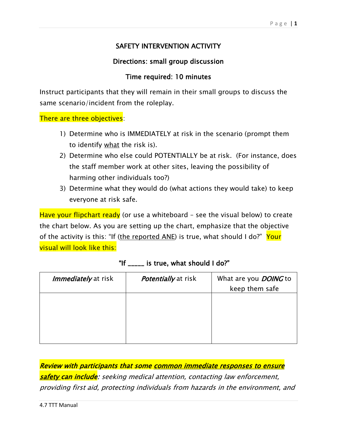## SAFETY INTERVENTION ACTIVITY

## Directions: small group discussion

## Time required: 10 minutes

Instruct participants that they will remain in their small groups to discuss the same scenario/incident from the roleplay.

There are three objectives:

- 1) Determine who is IMMEDIATELY at risk in the scenario (prompt them to identify what the risk is).
- 2) Determine who else could POTENTIALLY be at risk. (For instance, does the staff member work at other sites, leaving the possibility of harming other individuals too?)
- 3) Determine what they would do (what actions they would take) to keep everyone at risk safe.

Have your flipchart ready (or use a whiteboard - see the visual below) to create the chart below. As you are setting up the chart, emphasize that the objective of the activity is this: "If (the reported ANE) is true, what should I do?" Your visual will look like this:

| <i>Immediately</i> at risk | <i>Potentially</i> at risk | What are you <b>DOING</b> to |  |
|----------------------------|----------------------------|------------------------------|--|
|                            |                            | keep them safe               |  |
|                            |                            |                              |  |
|                            |                            |                              |  |
|                            |                            |                              |  |
|                            |                            |                              |  |
|                            |                            |                              |  |
|                            |                            |                              |  |

|  |  |  |  |  | "If _____ is true, what should I do?" |  |
|--|--|--|--|--|---------------------------------------|--|
|--|--|--|--|--|---------------------------------------|--|

Review with participants that some common immediate responses to ensure safety can include: seeking medical attention, contacting law enforcement, providing first aid, protecting individuals from hazards in the environment, and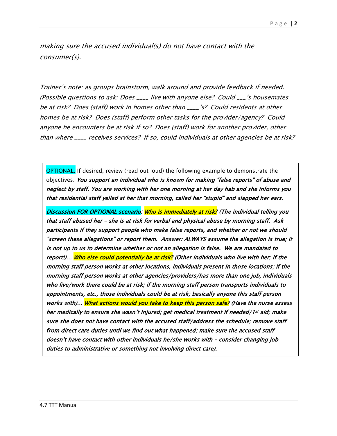making sure the accused individual(s) do not have contact with the consumer(s).

Trainer's note: as groups brainstorm, walk around and provide feedback if needed. (Possible questions to ask: Does \_\_\_\_ live with anyone else? Could \_\_\_'s housemates be at risk? Does (staff) work in homes other than \_\_\_\_'s? Could residents at other homes be at risk? Does (staff) perform other tasks for the provider/agency? Could anyone he encounters be at risk if so? Does (staff) work for another provider, other than where \_\_\_\_ receives services? If so, could individuals at other agencies be at risk?

OPTIONAL: If desired, review (read out loud) the following example to demonstrate the objectives. You support an individual who is known for making "false reports" of abuse and neglect by staff. You are working with her one morning at her day hab and she informs you that residential staff yelled at her that morning, called her "stupid" and slapped her ears.

Discussion FOR OPTIONAL scenario: Who is immediately at risk? (The individual telling you that staff abused her – she is at risk for verbal and physical abuse by morning staff. Ask participants if they support people who make false reports, and whether or not we should "screen these allegations" or report them. Answer: ALWAYS assume the allegation is true; it is not up to us to determine whether or not an allegation is false. We are mandated to report!)… Who else could potentially be at risk? (Other individuals who live with her; if the morning staff person works at other locations, individuals present in those locations; if the morning staff person works at other agencies/providers/has more than one job, individuals who live/work there could be at risk; if the morning staff person transports individuals to appointments, etc., those individuals could be at risk; basically anyone this staff person works with)… What actions would you take to keep this person safe? (Have the nurse assess her medically to ensure she wasn't injured; get medical treatment if needed/1st aid; make sure she does not have contact with the accused staff/address the schedule; remove staff from direct care duties until we find out what happened; make sure the accused staff doesn't have contact with other individuals he/she works with – consider changing job duties to administrative or something not involving direct care).